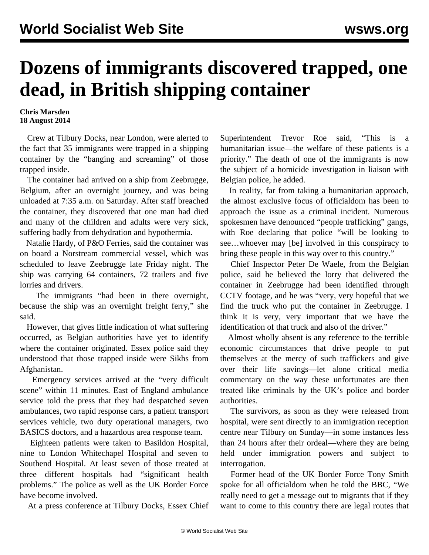## **Dozens of immigrants discovered trapped, one dead, in British shipping container**

## **Chris Marsden 18 August 2014**

 Crew at Tilbury Docks, near London, were alerted to the fact that 35 immigrants were trapped in a shipping container by the "banging and screaming" of those trapped inside.

 The container had arrived on a ship from Zeebrugge, Belgium, after an overnight journey, and was being unloaded at 7:35 a.m. on Saturday. After staff breached the container, they discovered that one man had died and many of the children and adults were very sick, suffering badly from dehydration and hypothermia.

 Natalie Hardy, of P&O Ferries, said the container was on board a Norstream commercial vessel, which was scheduled to leave Zeebrugge late Friday night. The ship was carrying 64 containers, 72 trailers and five lorries and drivers.

 The immigrants "had been in there overnight, because the ship was an overnight freight ferry," she said.

 However, that gives little indication of what suffering occurred, as Belgian authorities have yet to identify where the container originated. Essex police said they understood that those trapped inside were Sikhs from Afghanistan.

 Emergency services arrived at the "very difficult scene" within 11 minutes. East of England ambulance service told the press that they had despatched seven ambulances, two rapid response cars, a patient transport services vehicle, two duty operational managers, two BASICS doctors, and a hazardous area response team.

 Eighteen patients were taken to Basildon Hospital, nine to London Whitechapel Hospital and seven to Southend Hospital. At least seven of those treated at three different hospitals had "significant health problems." The police as well as the UK Border Force have become involved.

At a press conference at Tilbury Docks, Essex Chief

Superintendent Trevor Roe said, "This is a humanitarian issue—the welfare of these patients is a priority." The death of one of the immigrants is now the subject of a homicide investigation in liaison with Belgian police, he added.

 In reality, far from taking a humanitarian approach, the almost exclusive focus of officialdom has been to approach the issue as a criminal incident. Numerous spokesmen have denounced "people trafficking" gangs, with Roe declaring that police "will be looking to see…whoever may [be] involved in this conspiracy to bring these people in this way over to this country."

 Chief Inspector Peter De Waele, from the Belgian police, said he believed the lorry that delivered the container in Zeebrugge had been identified through CCTV footage, and he was "very, very hopeful that we find the truck who put the container in Zeebrugge. I think it is very, very important that we have the identification of that truck and also of the driver."

 Almost wholly absent is any reference to the terrible economic circumstances that drive people to put themselves at the mercy of such traffickers and give over their life savings—let alone critical media commentary on the way these unfortunates are then treated like criminals by the UK's police and border authorities.

 The survivors, as soon as they were released from hospital, were sent directly to an immigration reception centre near Tilbury on Sunday—in some instances less than 24 hours after their ordeal—where they are being held under immigration powers and subject to interrogation.

 Former head of the UK Border Force Tony Smith spoke for all officialdom when he told the BBC, "We really need to get a message out to migrants that if they want to come to this country there are legal routes that